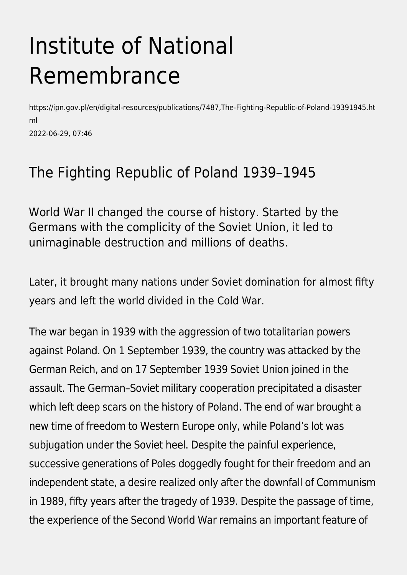## Institute of National Remembrance

https://ipn.gov.pl/en/digital-resources/publications/7487,The-Fighting-Republic-of-Poland-19391945.ht ml 2022-06-29, 07:46

#### The Fighting Republic of Poland 1939–1945

World War II changed the course of history. Started by the Germans with the complicity of the Soviet Union, it led to unimaginable destruction and millions of deaths.

Later, it brought many nations under Soviet domination for almost fifty years and left the world divided in the Cold War.

The war began in 1939 with the aggression of two totalitarian powers against Poland. On 1 September 1939, the country was attacked by the German Reich, and on 17 September 1939 Soviet Union joined in the assault. The German–Soviet military cooperation precipitated a disaster which left deep scars on the history of Poland. The end of war brought a new time of freedom to Western Europe only, while Poland's lot was subjugation under the Soviet heel. Despite the painful experience, successive generations of Poles doggedly fought for their freedom and an independent state, a desire realized only after the downfall of Communism in 1989, fifty years after the tragedy of 1939. Despite the passage of time, the experience of the Second World War remains an important feature of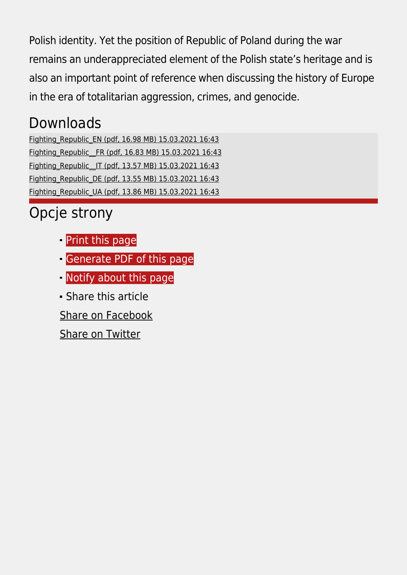Polish identity. Yet the position of Republic of Poland during the war remains an underappreciated element of the Polish state's heritage and is also an important point of reference when discussing the history of Europe in the era of totalitarian aggression, crimes, and genocide.

#### Downloads

[Fighting\\_Republic\\_EN \(pdf, 16.98 MB\) 15.03.2021 16:43](https://ipn.gov.pl/download/2/32554/RzeczpospolitaWalczacawIIwojnieEN.pdf) [Fighting\\_Republic\\_\\_FR \(pdf, 16.83 MB\) 15.03.2021 16:43](https://ipn.gov.pl/download/2/32557/RzeczpospolitaWalczacawIIwojnieFR.pdf) Fighting\_Republic\_IT (pdf, 13.57 MB) 15.03.2021 16:43 [Fighting\\_Republic\\_DE \(pdf, 13.55 MB\) 15.03.2021 16:43](https://ipn.gov.pl/download/2/32551/RzeczpospolitaWalczacawIIwojnieDE.pdf) [Fighting\\_Republic\\_UA \(pdf, 13.86 MB\) 15.03.2021 16:43](https://ipn.gov.pl/download/2/32563/RzeczpospolitaWalczacawIIwojnieUA.pdf)

### Opcje strony

- **[Print](https://ipn.gov.pl/javascript:winopen() [this page](https://ipn.gov.pl/javascript:winopen()**
- [Generate PDF](https://ipn.gov.pl/en/digital-resources/publications/7487,The-Fighting-Republic-of-Poland-19391945.pdf) [of this page](https://ipn.gov.pl/en/digital-resources/publications/7487,The-Fighting-Republic-of-Poland-19391945.pdf)
- [Notify](https://ipn.gov.pl/en/powiadom/7487,dok.html?poz=digital-resources/publications&drukuj=window) [about this page](https://ipn.gov.pl/en/powiadom/7487,dok.html?poz=digital-resources/publications&drukuj=window)
- Share this article
- [Share](https://www.facebook.com/sharer/sharer.php?u=https://ipn.gov.pl/en/digital-resources/publications/7487,The-Fighting-Republic-of-Poland-19391945.html) [on Facebook](https://www.facebook.com/sharer/sharer.php?u=https://ipn.gov.pl/en/digital-resources/publications/7487,The-Fighting-Republic-of-Poland-19391945.html)

[Share](https://twitter.com/share) [on Twitter](https://twitter.com/share)